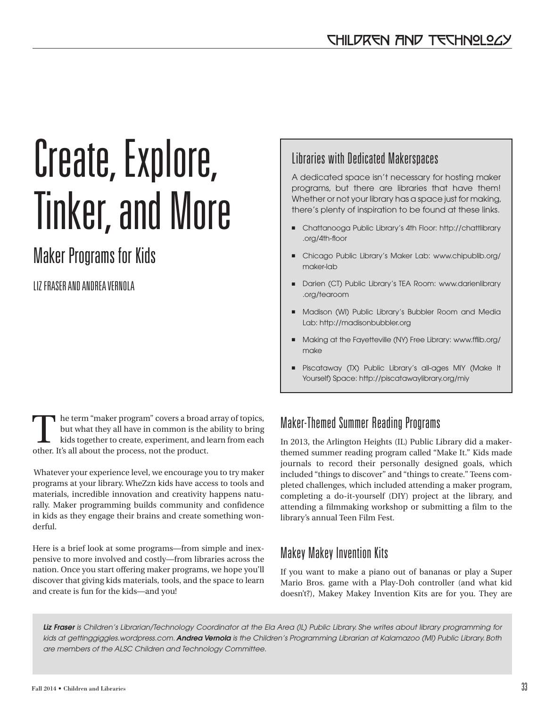# Create, Explore, Tinker, and More

## Maker Programs for Kids

LIZ FRASER AND ANDREA VERNOLA

The term "maker program" covers a broad array of topics, but what they all have in common is the ability to bring kids together to create, experiment, and learn from each other. It's all about the process, not the product.

 Whatever your experience level, we encourage you to try maker programs at your library. WheZzn kids have access to tools and materials, incredible innovation and creativity happens naturally. Maker programming builds community and confidence in kids as they engage their brains and create something wonderful.

Here is a brief look at some programs—from simple and inexpensive to more involved and costly—from libraries across the nation. Once you start offering maker programs, we hope you'll discover that giving kids materials, tools, and the space to learn and create is fun for the kids—and you!

## Libraries with Dedicated Makerspaces

A dedicated space isn't necessary for hosting maker programs, but there are libraries that have them! Whether or not your library has a space just for making, there's plenty of inspiration to be found at these links.

- Chattanooga Public Library's 4th Floor: http://chattlibrary .org/4th-floor
- Chicago Public Library's Maker Lab: www.chipublib.org/ maker-lab
- Darien (CT) Public Library's TEA Room: www.darienlibrary .org/tearoom
- Madison (WI) Public Library's Bubbler Room and Media Lab: http://madisonbubbler.org
- Making at the Fayetteville (NY) Free Library: www.fflib.org/ make
- Piscataway (TX) Public Library's all-ages MIY (Make It Yourself) Space: http://piscatawaylibrary.org/miy

## Maker-Themed Summer Reading Programs

In 2013, the Arlington Heights (IL) Public Library did a makerthemed summer reading program called "Make It." Kids made journals to record their personally designed goals, which included "things to discover" and "things to create." Teens completed challenges, which included attending a maker program, completing a do-it-yourself (DIY) project at the library, and attending a filmmaking workshop or submitting a film to the library's annual Teen Film Fest.

## Makey Makey Invention Kits

If you want to make a piano out of bananas or play a Super Mario Bros. game with a Play-Doh controller (and what kid doesn't?), Makey Makey Invention Kits are for you. They are

*Liz Fraser is Children's Librarian/Technology Coordinator at the Ela Area (IL) Public Library. She writes about library programming for kids at gettinggiggles.wordpress.com. Andrea Vernola is the Children's Programming Librarian at Kalamazoo (MI) Public Library. Both are members of the ALSC Children and Technology Committee.*